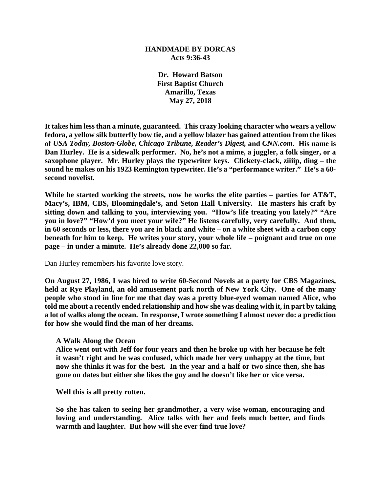## **HANDMADE BY DORCAS Acts 9:36-43**

**Dr. Howard Batson First Baptist Church Amarillo, Texas May 27, 2018**

**It takes him less than a minute, guaranteed. This crazy looking character who wears a yellow fedora, a yellow silk butterfly bow tie, and a yellow blazer has gained attention from the likes of** *USA Today, Boston-Globe, Chicago Tribune, Reader's Digest,* **and** *CNN.com***. His name is Dan Hurley. He is a sidewalk performer. No, he's not a mime, a juggler, a folk singer, or a saxophone player. Mr. Hurley plays the typewriter keys. Clickety-clack, ziiiip, ding – the sound he makes on his 1923 Remington typewriter. He's a "performance writer." He's a 60 second novelist.** 

**While he started working the streets, now he works the elite parties – parties for AT&T, Macy's, IBM, CBS, Bloomingdale's, and Seton Hall University. He masters his craft by sitting down and talking to you, interviewing you. "How's life treating you lately?" "Are you in love?" "How'd you meet your wife?" He listens carefully, very carefully. And then, in 60 seconds or less, there you are in black and white – on a white sheet with a carbon copy beneath for him to keep. He writes your story, your whole life – poignant and true on one page – in under a minute. He's already done 22,000 so far.**

Dan Hurley remembers his favorite love story.

**On August 27, 1986, I was hired to write 60-Second Novels at a party for CBS Magazines, held at Rye Playland, an old amusement park north of New York City. One of the many people who stood in line for me that day was a pretty blue-eyed woman named Alice, who told me about a recently ended relationship and how she was dealing with it, in part by taking a lot of walks along the ocean. In response, I wrote something I almost never do: a prediction for how she would find the man of her dreams.**

## **A Walk Along the Ocean**

**Alice went out with Jeff for four years and then he broke up with her because he felt it wasn't right and he was confused, which made her very unhappy at the time, but now she thinks it was for the best. In the year and a half or two since then, she has gone on dates but either she likes the guy and he doesn't like her or vice versa.**

**Well this is all pretty rotten.**

**So she has taken to seeing her grandmother, a very wise woman, encouraging and loving and understanding. Alice talks with her and feels much better, and finds warmth and laughter. But how will she ever find true love?**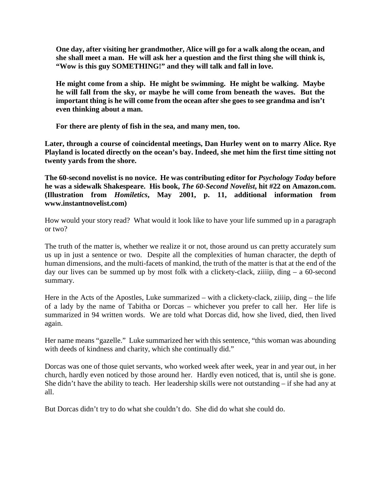**One day, after visiting her grandmother, Alice will go for a walk along the ocean, and she shall meet a man. He will ask her a question and the first thing she will think is, "Wow is this guy SOMETHING!" and they will talk and fall in love.**

**He might come from a ship. He might be swimming. He might be walking. Maybe he will fall from the sky, or maybe he will come from beneath the waves. But the important thing is he will come from the ocean after she goes to see grandma and isn't even thinking about a man.**

**For there are plenty of fish in the sea, and many men, too.**

**Later, through a course of coincidental meetings, Dan Hurley went on to marry Alice. Rye Playland is located directly on the ocean's bay. Indeed, she met him the first time sitting not twenty yards from the shore.** 

**The 60-second novelist is no novice. He was contributing editor for** *Psychology Today* **before he was a sidewalk Shakespeare. His book,** *The 60-Second Novelist***, hit #22 on Amazon.com. (Illustration from** *Homiletics***, May 2001, p. 11, additional information from www.instantnovelist.com)**

How would your story read? What would it look like to have your life summed up in a paragraph or two?

The truth of the matter is, whether we realize it or not, those around us can pretty accurately sum us up in just a sentence or two. Despite all the complexities of human character, the depth of human dimensions, and the multi-facets of mankind, the truth of the matter is that at the end of the day our lives can be summed up by most folk with a clickety-clack, ziiiip, ding – a 60-second summary.

Here in the Acts of the Apostles, Luke summarized – with a clickety-clack, ziiiip, ding – the life of a lady by the name of Tabitha or Dorcas – whichever you prefer to call her. Her life is summarized in 94 written words. We are told what Dorcas did, how she lived, died, then lived again.

Her name means "gazelle." Luke summarized her with this sentence, "this woman was abounding with deeds of kindness and charity, which she continually did."

Dorcas was one of those quiet servants, who worked week after week, year in and year out, in her church, hardly even noticed by those around her. Hardly even noticed, that is, until she is gone. She didn't have the ability to teach. Her leadership skills were not outstanding – if she had any at all.

But Dorcas didn't try to do what she couldn't do. She did do what she could do.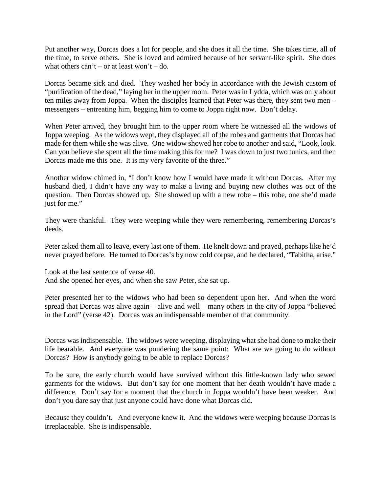Put another way, Dorcas does a lot for people, and she does it all the time. She takes time, all of the time, to serve others. She is loved and admired because of her servant-like spirit. She does what others  $can't = or at least won't = do$ .

Dorcas became sick and died. They washed her body in accordance with the Jewish custom of "purification of the dead," laying her in the upper room. Peter was in Lydda, which was only about ten miles away from Joppa. When the disciples learned that Peter was there, they sent two men – messengers – entreating him, begging him to come to Joppa right now. Don't delay.

When Peter arrived, they brought him to the upper room where he witnessed all the widows of Joppa weeping. As the widows wept, they displayed all of the robes and garments that Dorcas had made for them while she was alive. One widow showed her robe to another and said, "Look, look. Can you believe she spent all the time making this for me? I was down to just two tunics, and then Dorcas made me this one. It is my very favorite of the three."

Another widow chimed in, "I don't know how I would have made it without Dorcas. After my husband died, I didn't have any way to make a living and buying new clothes was out of the question. Then Dorcas showed up. She showed up with a new robe – this robe, one she'd made just for me."

They were thankful. They were weeping while they were remembering, remembering Dorcas's deeds.

Peter asked them all to leave, every last one of them. He knelt down and prayed, perhaps like he'd never prayed before. He turned to Dorcas's by now cold corpse, and he declared, "Tabitha, arise."

Look at the last sentence of verse 40. And she opened her eyes, and when she saw Peter, she sat up.

Peter presented her to the widows who had been so dependent upon her. And when the word spread that Dorcas was alive again – alive and well – many others in the city of Joppa "believed in the Lord" (verse 42). Dorcas was an indispensable member of that community.

Dorcas was indispensable. The widows were weeping, displaying what she had done to make their life bearable. And everyone was pondering the same point: What are we going to do without Dorcas? How is anybody going to be able to replace Dorcas?

To be sure, the early church would have survived without this little-known lady who sewed garments for the widows. But don't say for one moment that her death wouldn't have made a difference. Don't say for a moment that the church in Joppa wouldn't have been weaker. And don't you dare say that just anyone could have done what Dorcas did.

Because they couldn't. And everyone knew it. And the widows were weeping because Dorcas is irreplaceable. She is indispensable.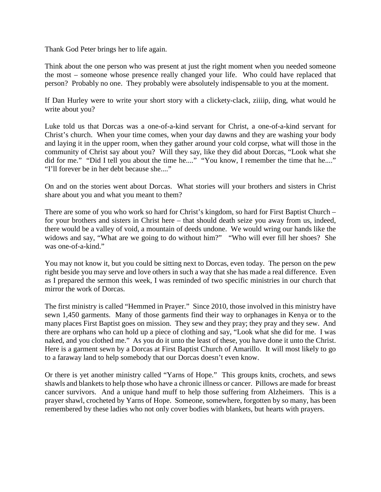Thank God Peter brings her to life again.

Think about the one person who was present at just the right moment when you needed someone the most – someone whose presence really changed your life. Who could have replaced that person? Probably no one. They probably were absolutely indispensable to you at the moment.

If Dan Hurley were to write your short story with a clickety-clack, ziiiip, ding, what would he write about you?

Luke told us that Dorcas was a one-of-a-kind servant for Christ, a one-of-a-kind servant for Christ's church. When your time comes, when your day dawns and they are washing your body and laying it in the upper room, when they gather around your cold corpse, what will those in the community of Christ say about you? Will they say, like they did about Dorcas, "Look what she did for me." "Did I tell you about the time he...." "You know, I remember the time that he...." "I'll forever be in her debt because she...."

On and on the stories went about Dorcas. What stories will your brothers and sisters in Christ share about you and what you meant to them?

There are some of you who work so hard for Christ's kingdom, so hard for First Baptist Church – for your brothers and sisters in Christ here – that should death seize you away from us, indeed, there would be a valley of void, a mountain of deeds undone. We would wring our hands like the widows and say, "What are we going to do without him?" "Who will ever fill her shoes? She was one-of-a-kind."

You may not know it, but you could be sitting next to Dorcas, even today. The person on the pew right beside you may serve and love others in such a way that she has made a real difference. Even as I prepared the sermon this week, I was reminded of two specific ministries in our church that mirror the work of Dorcas.

The first ministry is called "Hemmed in Prayer." Since 2010, those involved in this ministry have sewn 1,450 garments. Many of those garments find their way to orphanages in Kenya or to the many places First Baptist goes on mission. They sew and they pray; they pray and they sew. And there are orphans who can hold up a piece of clothing and say, "Look what she did for me. I was naked, and you clothed me." As you do it unto the least of these, you have done it unto the Christ. Here is a garment sewn by a Dorcas at First Baptist Church of Amarillo. It will most likely to go to a faraway land to help somebody that our Dorcas doesn't even know.

Or there is yet another ministry called "Yarns of Hope." This groups knits, crochets, and sews shawls and blankets to help those who have a chronic illness or cancer. Pillows are made for breast cancer survivors. And a unique hand muff to help those suffering from Alzheimers. This is a prayer shawl, crocheted by Yarns of Hope. Someone, somewhere, forgotten by so many, has been remembered by these ladies who not only cover bodies with blankets, but hearts with prayers.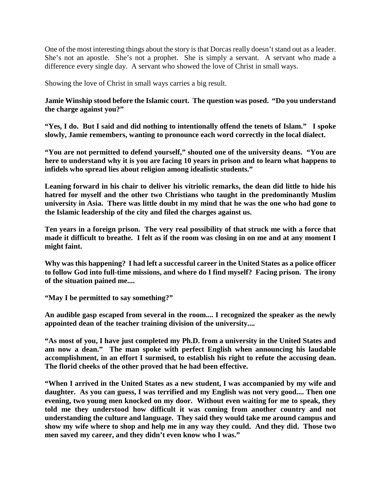One of the most interesting things about the story is that Dorcas really doesn't stand out as a leader. She's not an apostle. She's not a prophet. She is simply a servant. A servant who made a difference every single day. A servant who showed the love of Christ in small ways.

Showing the love of Christ in small ways carries a big result.

**Jamie Winship stood before the Islamic court. The question was posed. "Do you understand the charge against you?"** 

**"Yes, I do. But I said and did nothing to intentionally offend the tenets of Islam." I spoke slowly, Jamie remembers, wanting to pronounce each word correctly in the local dialect.**

**"You are not permitted to defend yourself," shouted one of the university deans. "You are here to understand why it is you are facing 10 years in prison and to learn what happens to infidels who spread lies about religion among idealistic students."**

**Leaning forward in his chair to deliver his vitriolic remarks, the dean did little to hide his hatred for myself and the other two Christians who taught in the predominantly Muslim university in Asia. There was little doubt in my mind that he was the one who had gone to the Islamic leadership of the city and filed the charges against us.**

**Ten years in a foreign prison. The very real possibility of that struck me with a force that made it difficult to breathe. I felt as if the room was closing in on me and at any moment I might faint.**

**Why was this happening? I had left a successful career in the United States as a police officer to follow God into full-time missions, and where do I find myself? Facing prison. The irony of the situation pained me....**

**"May I be permitted to say something?"**

**An audible gasp escaped from several in the room.... I recognized the speaker as the newly appointed dean of the teacher training division of the university....**

**"As most of you, I have just completed my Ph.D. from a university in the United States and am now a dean." The man spoke with perfect English when announcing his laudable accomplishment, in an effort I surmised, to establish his right to refute the accusing dean. The florid cheeks of the other proved that he had been effective.**

**"When I arrived in the United States as a new student, I was accompanied by my wife and daughter. As you can guess, I was terrified and my English was not very good.... Then one evening, two young men knocked on my door. Without even waiting for me to speak, they told me they understood how difficult it was coming from another country and not understanding the culture and language. They said they would take me around campus and show my wife where to shop and help me in any way they could. And they did. Those two men saved my career, and they didn't even know who I was."**